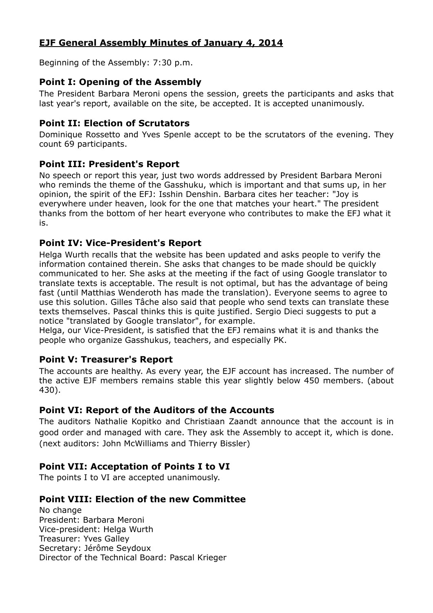# **EJF General Assembly Minutes of January 4, 2014**

Beginning of the Assembly: 7:30 p.m.

## **Point I: Opening of the Assembly**

The President Barbara Meroni opens the session, greets the participants and asks that last year's report, available on the site, be accepted. It is accepted unanimously.

## **Point II: Election of Scrutators**

Dominique Rossetto and Yves Spenle accept to be the scrutators of the evening. They count 69 participants.

## **Point III: President's Report**

No speech or report this year, just two words addressed by President Barbara Meroni who reminds the theme of the Gasshuku, which is important and that sums up, in her opinion, the spirit of the EFJ: Isshin Denshin. Barbara cites her teacher: "Joy is everywhere under heaven, look for the one that matches your heart." The president thanks from the bottom of her heart everyone who contributes to make the EFJ what it is.

## **Point IV: Vice-President's Report**

Helga Wurth recalls that the website has been updated and asks people to verify the information contained therein. She asks that changes to be made should be quickly communicated to her. She asks at the meeting if the fact of using Google translator to translate texts is acceptable. The result is not optimal, but has the advantage of being fast (until Matthias Wenderoth has made the translation). Everyone seems to agree to use this solution. Gilles Tâche also said that people who send texts can translate these texts themselves. Pascal thinks this is quite justified. Sergio Dieci suggests to put a notice "translated by Google translator", for example.

Helga, our Vice-President, is satisfied that the EFJ remains what it is and thanks the people who organize Gasshukus, teachers, and especially PK.

## **Point V: Treasurer's Report**

The accounts are healthy. As every year, the EJF account has increased. The number of the active EJF members remains stable this year slightly below 450 members. (about 430).

#### **Point VI: Report of the Auditors of the Accounts**

The auditors Nathalie Kopitko and Christiaan Zaandt announce that the account is in good order and managed with care. They ask the Assembly to accept it, which is done. (next auditors: John McWilliams and Thierry Bissler)

## **Point VII: Acceptation of Points I to VI**

The points I to VI are accepted unanimously.

#### **Point VIII: Election of the new Committee**

No change President: Barbara Meroni Vice-president: Helga Wurth Treasurer: Yves Galley Secretary: Jérôme Seydoux Director of the Technical Board: Pascal Krieger